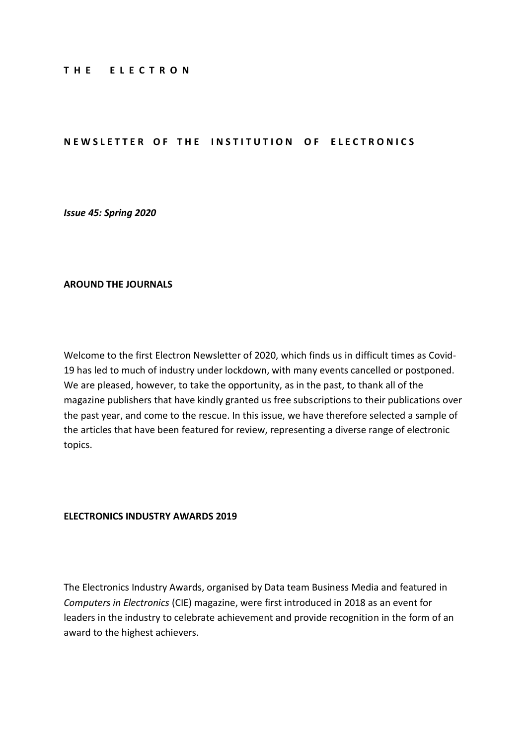#### **T H E E L E C T R O N**

## **NEWSLETTER OF THE INSTITUTION OF ELECTRONICS**

*Issue 45: Spring 2020*

## **AROUND THE JOURNALS**

Welcome to the first Electron Newsletter of 2020, which finds us in difficult times as Covid-19 has led to much of industry under lockdown, with many events cancelled or postponed. We are pleased, however, to take the opportunity, as in the past, to thank all of the magazine publishers that have kindly granted us free subscriptions to their publications over the past year, and come to the rescue. In this issue, we have therefore selected a sample of the articles that have been featured for review, representing a diverse range of electronic topics.

#### **ELECTRONICS INDUSTRY AWARDS 2019**

The Electronics Industry Awards, organised by Data team Business Media and featured in *Computers in Electronics* (CIE) magazine, were first introduced in 2018 as an event for leaders in the industry to celebrate achievement and provide recognition in the form of an award to the highest achievers.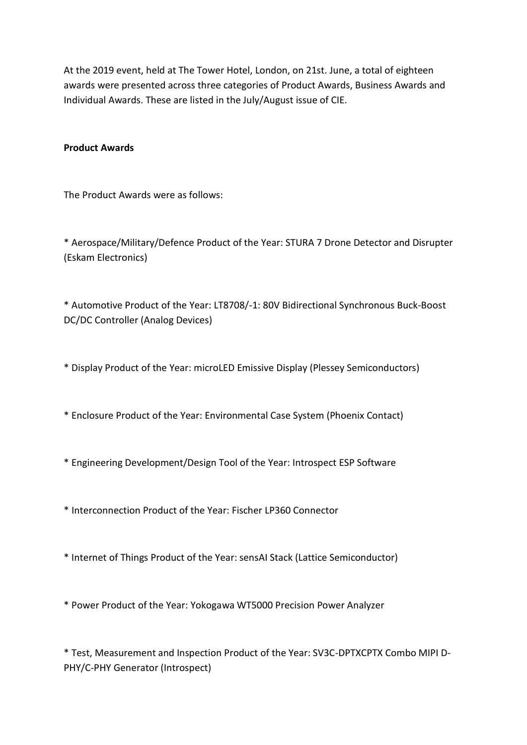At the 2019 event, held at The Tower Hotel, London, on 21st. June, a total of eighteen awards were presented across three categories of Product Awards, Business Awards and Individual Awards. These are listed in the July/August issue of CIE.

## **Product Awards**

The Product Awards were as follows:

\* Aerospace/Military/Defence Product of the Year: STURA 7 Drone Detector and Disrupter (Eskam Electronics)

\* Automotive Product of the Year: LT8708/-1: 80V Bidirectional Synchronous Buck-Boost DC/DC Controller (Analog Devices)

\* Display Product of the Year: microLED Emissive Display (Plessey Semiconductors)

\* Enclosure Product of the Year: Environmental Case System (Phoenix Contact)

- \* Engineering Development/Design Tool of the Year: Introspect ESP Software
- \* Interconnection Product of the Year: Fischer LP360 Connector
- \* Internet of Things Product of the Year: sensAI Stack (Lattice Semiconductor)
- \* Power Product of the Year: Yokogawa WT5000 Precision Power Analyzer

\* Test, Measurement and Inspection Product of the Year: SV3C-DPTXCPTX Combo MIPI D-PHY/C-PHY Generator (Introspect)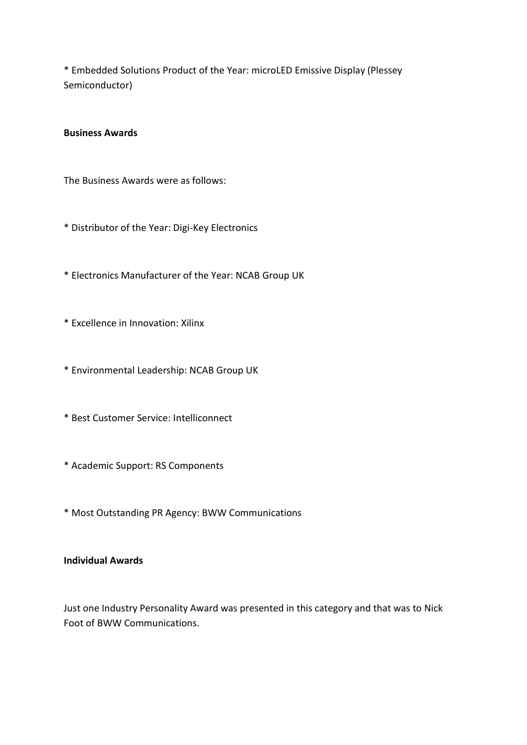\* Embedded Solutions Product of the Year: microLED Emissive Display (Plessey Semiconductor)

## **Business Awards**

The Business Awards were as follows:

- \* Distributor of the Year: Digi-Key Electronics
- \* Electronics Manufacturer of the Year: NCAB Group UK
- \* Excellence in Innovation: Xilinx
- \* Environmental Leadership: NCAB Group UK
- \* Best Customer Service: Intelliconnect
- \* Academic Support: RS Components
- \* Most Outstanding PR Agency: BWW Communications

# **Individual Awards**

Just one Industry Personality Award was presented in this category and that was to Nick Foot of BWW Communications.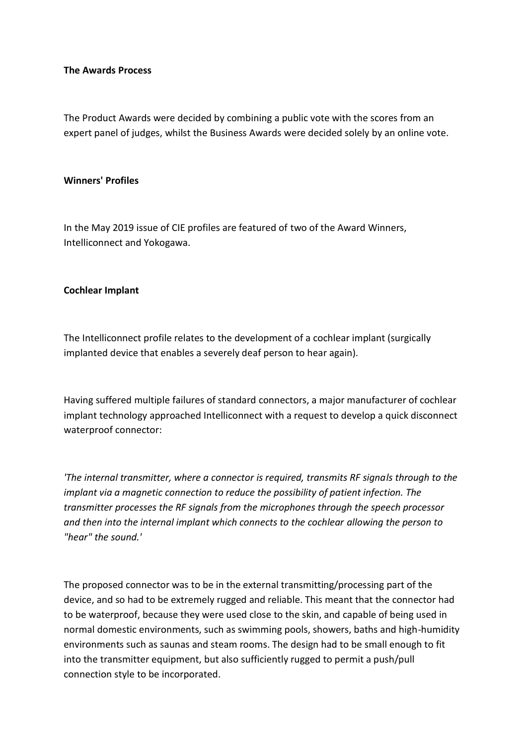## **The Awards Process**

The Product Awards were decided by combining a public vote with the scores from an expert panel of judges, whilst the Business Awards were decided solely by an online vote.

#### **Winners' Profiles**

In the May 2019 issue of CIE profiles are featured of two of the Award Winners, Intelliconnect and Yokogawa.

#### **Cochlear Implant**

The Intelliconnect profile relates to the development of a cochlear implant (surgically implanted device that enables a severely deaf person to hear again).

Having suffered multiple failures of standard connectors, a major manufacturer of cochlear implant technology approached Intelliconnect with a request to develop a quick disconnect waterproof connector:

*'The internal transmitter, where a connector is required, transmits RF signals through to the implant via a magnetic connection to reduce the possibility of patient infection. The transmitter processes the RF signals from the microphones through the speech processor and then into the internal implant which connects to the cochlear allowing the person to "hear" the sound.'*

The proposed connector was to be in the external transmitting/processing part of the device, and so had to be extremely rugged and reliable. This meant that the connector had to be waterproof, because they were used close to the skin, and capable of being used in normal domestic environments, such as swimming pools, showers, baths and high-humidity environments such as saunas and steam rooms. The design had to be small enough to fit into the transmitter equipment, but also sufficiently rugged to permit a push/pull connection style to be incorporated.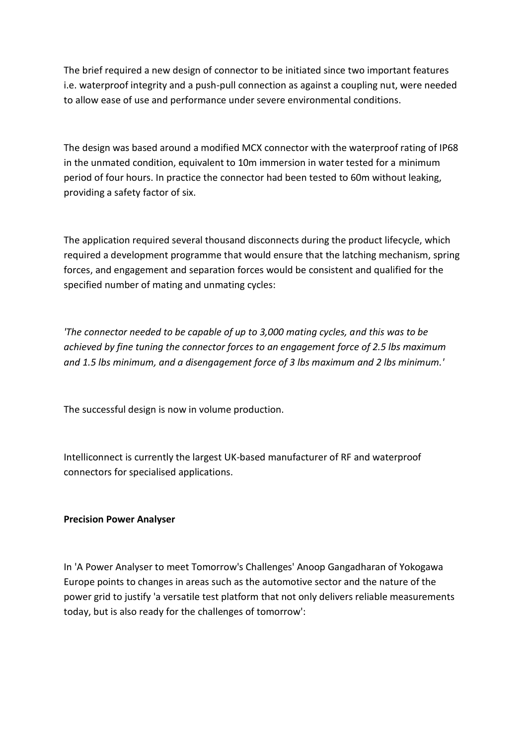The brief required a new design of connector to be initiated since two important features i.e. waterproof integrity and a push-pull connection as against a coupling nut, were needed to allow ease of use and performance under severe environmental conditions.

The design was based around a modified MCX connector with the waterproof rating of IP68 in the unmated condition, equivalent to 10m immersion in water tested for a minimum period of four hours. In practice the connector had been tested to 60m without leaking, providing a safety factor of six.

The application required several thousand disconnects during the product lifecycle, which required a development programme that would ensure that the latching mechanism, spring forces, and engagement and separation forces would be consistent and qualified for the specified number of mating and unmating cycles:

*'The connector needed to be capable of up to 3,000 mating cycles, and this was to be achieved by fine tuning the connector forces to an engagement force of 2.5 lbs maximum and 1.5 lbs minimum, and a disengagement force of 3 lbs maximum and 2 lbs minimum.'*

The successful design is now in volume production.

Intelliconnect is currently the largest UK-based manufacturer of RF and waterproof connectors for specialised applications.

## **Precision Power Analyser**

In 'A Power Analyser to meet Tomorrow's Challenges' Anoop Gangadharan of Yokogawa Europe points to changes in areas such as the automotive sector and the nature of the power grid to justify 'a versatile test platform that not only delivers reliable measurements today, but is also ready for the challenges of tomorrow':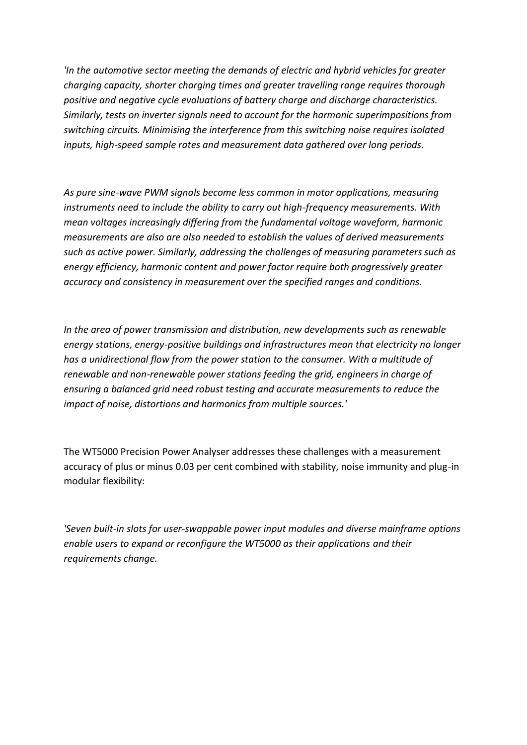*'In the automotive sector meeting the demands of electric and hybrid vehicles for greater charging capacity, shorter charging times and greater travelling range requires thorough positive and negative cycle evaluations of battery charge and discharge characteristics. Similarly, tests on inverter signals need to account for the harmonic superimpositions from switching circuits. Minimising the interference from this switching noise requires isolated inputs, high-speed sample rates and measurement data gathered over long periods.*

*As pure sine-wave PWM signals become less common in motor applications, measuring instruments need to include the ability to carry out high-frequency measurements. With mean voltages increasingly differing from the fundamental voltage waveform, harmonic measurements are also are also needed to establish the values of derived measurements such as active power. Similarly, addressing the challenges of measuring parameters such as energy efficiency, harmonic content and power factor require both progressively greater accuracy and consistency in measurement over the specified ranges and conditions.*

*In the area of power transmission and distribution, new developments such as renewable energy stations, energy-positive buildings and infrastructures mean that electricity no longer has a unidirectional flow from the power station to the consumer. With a multitude of renewable and non-renewable power stations feeding the grid, engineers in charge of ensuring a balanced grid need robust testing and accurate measurements to reduce the impact of noise, distortions and harmonics from multiple sources.'*

The WT5000 Precision Power Analyser addresses these challenges with a measurement accuracy of plus or minus 0.03 per cent combined with stability, noise immunity and plug-in modular flexibility:

*'Seven built-in slots for user-swappable power input modules and diverse mainframe options enable users to expand or reconfigure the WT5000 as their applications and their requirements change.*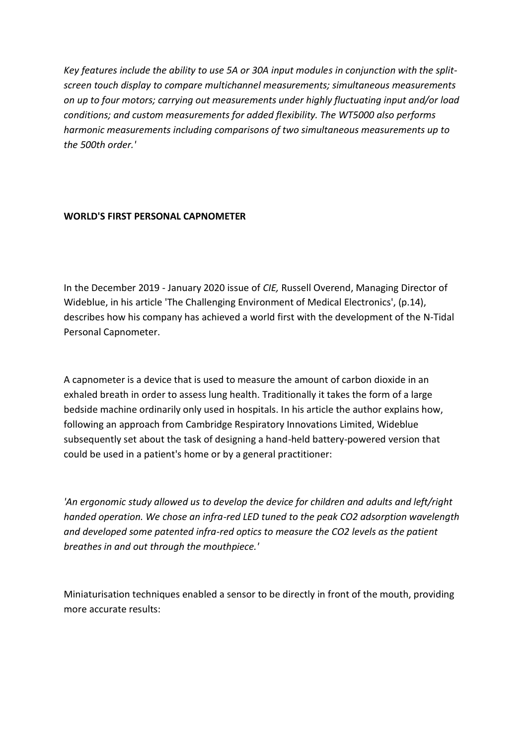*Key features include the ability to use 5A or 30A input modules in conjunction with the splitscreen touch display to compare multichannel measurements; simultaneous measurements on up to four motors; carrying out measurements under highly fluctuating input and/or load conditions; and custom measurements for added flexibility. The WT5000 also performs harmonic measurements including comparisons of two simultaneous measurements up to the 500th order.'*

# **WORLD'S FIRST PERSONAL CAPNOMETER**

In the December 2019 - January 2020 issue of *CIE,* Russell Overend, Managing Director of Wideblue, in his article 'The Challenging Environment of Medical Electronics', (p.14), describes how his company has achieved a world first with the development of the N-Tidal Personal Capnometer.

A capnometer is a device that is used to measure the amount of carbon dioxide in an exhaled breath in order to assess lung health. Traditionally it takes the form of a large bedside machine ordinarily only used in hospitals. In his article the author explains how, following an approach from Cambridge Respiratory Innovations Limited, Wideblue subsequently set about the task of designing a hand-held battery-powered version that could be used in a patient's home or by a general practitioner:

*'An ergonomic study allowed us to develop the device for children and adults and left/right handed operation. We chose an infra-red LED tuned to the peak CO2 adsorption wavelength and developed some patented infra-red optics to measure the CO2 levels as the patient breathes in and out through the mouthpiece.'*

Miniaturisation techniques enabled a sensor to be directly in front of the mouth, providing more accurate results: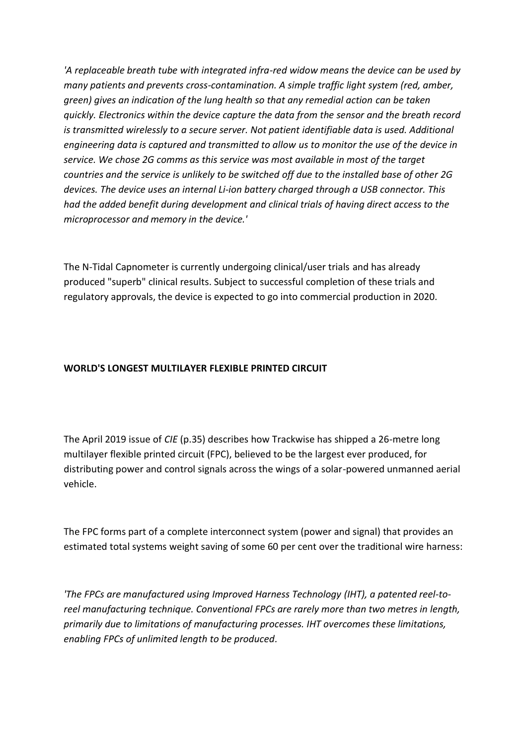*'A replaceable breath tube with integrated infra-red widow means the device can be used by many patients and prevents cross-contamination. A simple traffic light system (red, amber, green) gives an indication of the lung health so that any remedial action can be taken quickly. Electronics within the device capture the data from the sensor and the breath record is transmitted wirelessly to a secure server. Not patient identifiable data is used. Additional engineering data is captured and transmitted to allow us to monitor the use of the device in service. We chose 2G comms as this service was most available in most of the target countries and the service is unlikely to be switched off due to the installed base of other 2G devices. The device uses an internal Li-ion battery charged through a USB connector. This had the added benefit during development and clinical trials of having direct access to the microprocessor and memory in the device.'*

The N-Tidal Capnometer is currently undergoing clinical/user trials and has already produced "superb" clinical results. Subject to successful completion of these trials and regulatory approvals, the device is expected to go into commercial production in 2020.

# **WORLD'S LONGEST MULTILAYER FLEXIBLE PRINTED CIRCUIT**

The April 2019 issue of *CIE* (p.35) describes how Trackwise has shipped a 26-metre long multilayer flexible printed circuit (FPC), believed to be the largest ever produced, for distributing power and control signals across the wings of a solar-powered unmanned aerial vehicle.

The FPC forms part of a complete interconnect system (power and signal) that provides an estimated total systems weight saving of some 60 per cent over the traditional wire harness:

*'The FPCs are manufactured using Improved Harness Technology (IHT), a patented reel-toreel manufacturing technique. Conventional FPCs are rarely more than two metres in length, primarily due to limitations of manufacturing processes. IHT overcomes these limitations, enabling FPCs of unlimited length to be produced.*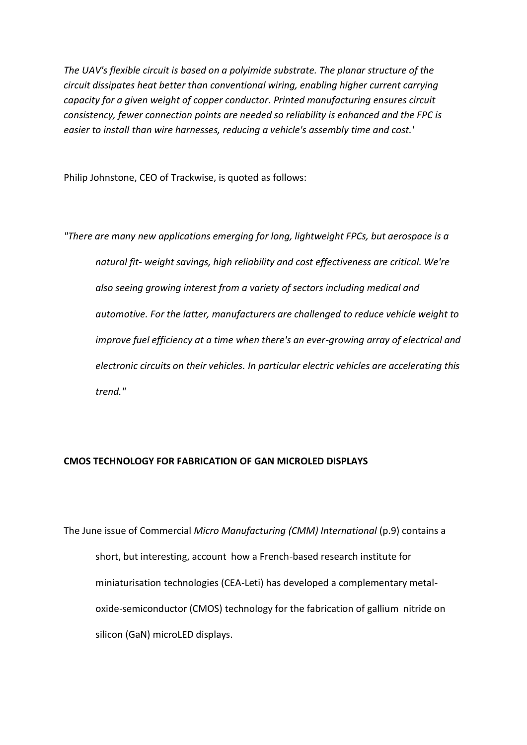*The UAV's flexible circuit is based on a polyimide substrate. The planar structure of the circuit dissipates heat better than conventional wiring, enabling higher current carrying capacity for a given weight of copper conductor. Printed manufacturing ensures circuit consistency, fewer connection points are needed so reliability is enhanced and the FPC is easier to install than wire harnesses, reducing a vehicle's assembly time and cost.'*

Philip Johnstone, CEO of Trackwise, is quoted as follows:

*"There are many new applications emerging for long, lightweight FPCs, but aerospace is a natural fit- weight savings, high reliability and cost effectiveness are critical. We're also seeing growing interest from a variety of sectors including medical and automotive. For the latter, manufacturers are challenged to reduce vehicle weight to improve fuel efficiency at a time when there's an ever-growing array of electrical and electronic circuits on their vehicles. In particular electric vehicles are accelerating this trend."*

#### **CMOS TECHNOLOGY FOR FABRICATION OF GAN MICROLED DISPLAYS**

The June issue of Commercial *Micro Manufacturing (CMM) International* (p.9) contains a short, but interesting, account how a French-based research institute for miniaturisation technologies (CEA-Leti) has developed a complementary metaloxide-semiconductor (CMOS) technology for the fabrication of gallium nitride on silicon (GaN) microLED displays.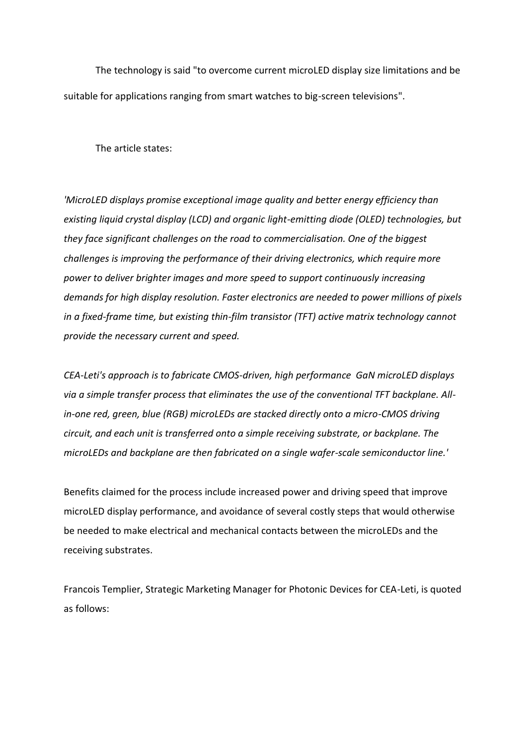The technology is said "to overcome current microLED display size limitations and be suitable for applications ranging from smart watches to big-screen televisions".

The article states:

*'MicroLED displays promise exceptional image quality and better energy efficiency than existing liquid crystal display (LCD) and organic light-emitting diode (OLED) technologies, but they face significant challenges on the road to commercialisation. One of the biggest challenges is improving the performance of their driving electronics, which require more power to deliver brighter images and more speed to support continuously increasing demands for high display resolution. Faster electronics are needed to power millions of pixels in a fixed-frame time, but existing thin-film transistor (TFT) active matrix technology cannot provide the necessary current and speed.*

*CEA-Leti's approach is to fabricate CMOS-driven, high performance GaN microLED displays via a simple transfer process that eliminates the use of the conventional TFT backplane. Allin-one red, green, blue (RGB) microLEDs are stacked directly onto a micro-CMOS driving circuit, and each unit is transferred onto a simple receiving substrate, or backplane. The microLEDs and backplane are then fabricated on a single wafer-scale semiconductor line.'*

Benefits claimed for the process include increased power and driving speed that improve microLED display performance, and avoidance of several costly steps that would otherwise be needed to make electrical and mechanical contacts between the microLEDs and the receiving substrates.

Francois Templier, Strategic Marketing Manager for Photonic Devices for CEA-Leti, is quoted as follows: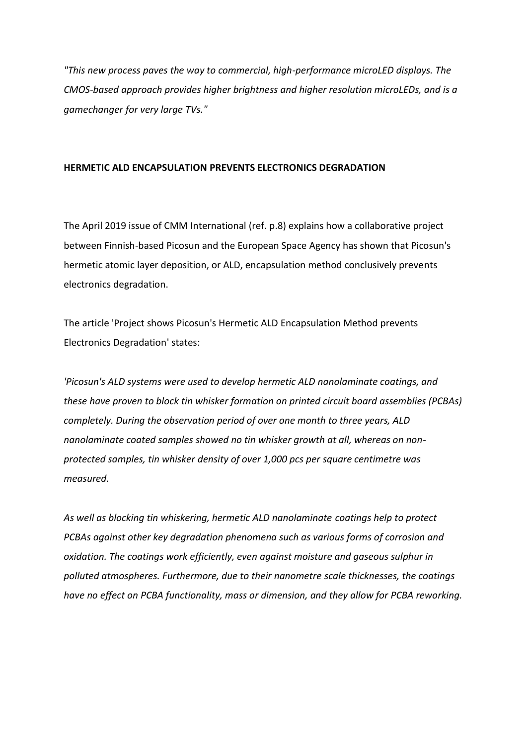*"This new process paves the way to commercial, high-performance microLED displays. The CMOS-based approach provides higher brightness and higher resolution microLEDs, and is a gamechanger for very large TVs."*

#### **HERMETIC ALD ENCAPSULATION PREVENTS ELECTRONICS DEGRADATION**

The April 2019 issue of CMM International (ref. p.8) explains how a collaborative project between Finnish-based Picosun and the European Space Agency has shown that Picosun's hermetic atomic layer deposition, or ALD, encapsulation method conclusively prevents electronics degradation.

The article 'Project shows Picosun's Hermetic ALD Encapsulation Method prevents Electronics Degradation' states:

*'Picosun's ALD systems were used to develop hermetic ALD nanolaminate coatings, and these have proven to block tin whisker formation on printed circuit board assemblies (PCBAs) completely. During the observation period of over one month to three years, ALD nanolaminate coated samples showed no tin whisker growth at all, whereas on nonprotected samples, tin whisker density of over 1,000 pcs per square centimetre was measured.*

*As well as blocking tin whiskering, hermetic ALD nanolaminate coatings help to protect PCBAs against other key degradation phenomena such as various forms of corrosion and oxidation. The coatings work efficiently, even against moisture and gaseous sulphur in polluted atmospheres. Furthermore, due to their nanometre scale thicknesses, the coatings have no effect on PCBA functionality, mass or dimension, and they allow for PCBA reworking.*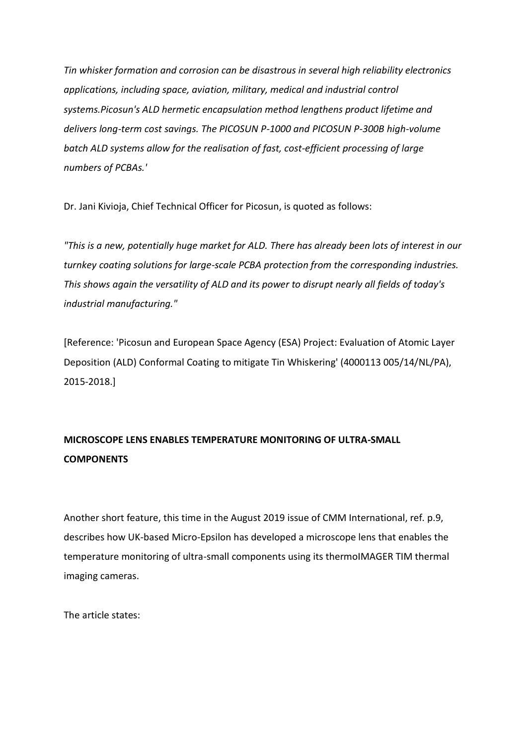*Tin whisker formation and corrosion can be disastrous in several high reliability electronics applications, including space, aviation, military, medical and industrial control systems.Picosun's ALD hermetic encapsulation method lengthens product lifetime and delivers long-term cost savings. The PICOSUN P-1000 and PICOSUN P-300B high-volume batch ALD systems allow for the realisation of fast, cost-efficient processing of large numbers of PCBAs.'*

Dr. Jani Kivioja, Chief Technical Officer for Picosun, is quoted as follows:

*"This is a new, potentially huge market for ALD. There has already been lots of interest in our turnkey coating solutions for large-scale PCBA protection from the corresponding industries. This shows again the versatility of ALD and its power to disrupt nearly all fields of today's industrial manufacturing."*

[Reference: 'Picosun and European Space Agency (ESA) Project: Evaluation of Atomic Layer Deposition (ALD) Conformal Coating to mitigate Tin Whiskering' (4000113 005/14/NL/PA), 2015-2018.]

# **MICROSCOPE LENS ENABLES TEMPERATURE MONITORING OF ULTRA-SMALL COMPONENTS**

Another short feature, this time in the August 2019 issue of CMM International, ref. p.9, describes how UK-based Micro-Epsilon has developed a microscope lens that enables the temperature monitoring of ultra-small components using its thermoIMAGER TIM thermal imaging cameras.

The article states: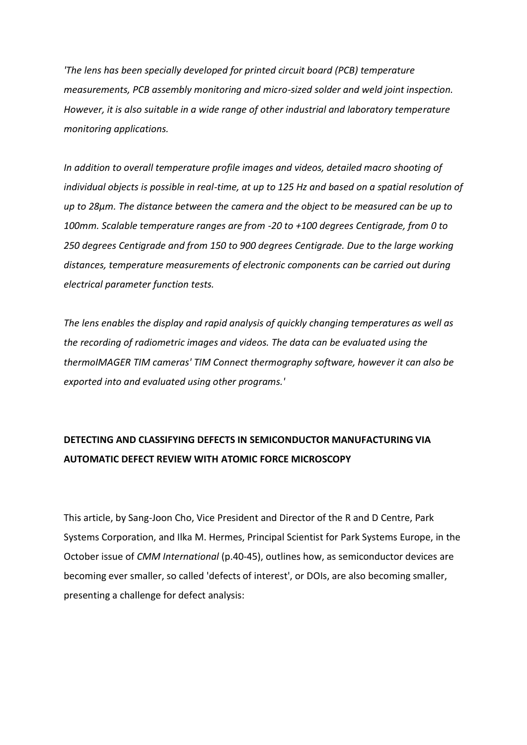*'The lens has been specially developed for printed circuit board (PCB) temperature measurements, PCB assembly monitoring and micro-sized solder and weld joint inspection. However, it is also suitable in a wide range of other industrial and laboratory temperature monitoring applications.*

*In addition to overall temperature profile images and videos, detailed macro shooting of individual objects is possible in real-time, at up to 125 Hz and based on a spatial resolution of up to 28µm. The distance between the camera and the object to be measured can be up to 100mm. Scalable temperature ranges are from -20 to +100 degrees Centigrade, from 0 to 250 degrees Centigrade and from 150 to 900 degrees Centigrade. Due to the large working distances, temperature measurements of electronic components can be carried out during electrical parameter function tests.*

*The lens enables the display and rapid analysis of quickly changing temperatures as well as the recording of radiometric images and videos. The data can be evaluated using the thermoIMAGER TIM cameras' TIM Connect thermography software, however it can also be exported into and evaluated using other programs.'*

# **DETECTING AND CLASSIFYING DEFECTS IN SEMICONDUCTOR MANUFACTURING VIA AUTOMATIC DEFECT REVIEW WITH ATOMIC FORCE MICROSCOPY**

This article, by Sang-Joon Cho, Vice President and Director of the R and D Centre, Park Systems Corporation, and Ilka M. Hermes, Principal Scientist for Park Systems Europe, in the October issue of *CMM International* (p.40-45), outlines how, as semiconductor devices are becoming ever smaller, so called 'defects of interest', or DOIs, are also becoming smaller, presenting a challenge for defect analysis: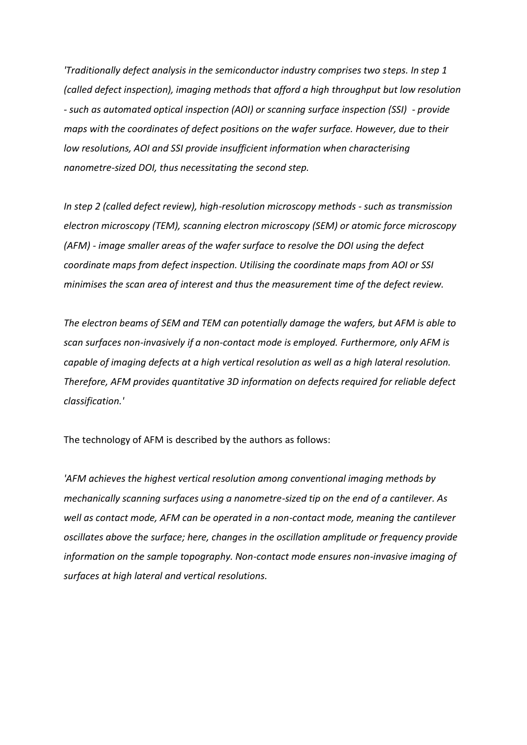*'Traditionally defect analysis in the semiconductor industry comprises two steps. In step 1 (called defect inspection), imaging methods that afford a high throughput but low resolution - such as automated optical inspection (AOI) or scanning surface inspection (SSI) - provide maps with the coordinates of defect positions on the wafer surface. However, due to their low resolutions, AOI and SSI provide insufficient information when characterising nanometre-sized DOI, thus necessitating the second step.*

*In step 2 (called defect review), high-resolution microscopy methods - such as transmission electron microscopy (TEM), scanning electron microscopy (SEM) or atomic force microscopy (AFM) - image smaller areas of the wafer surface to resolve the DOI using the defect coordinate maps from defect inspection. Utilising the coordinate maps from AOI or SSI minimises the scan area of interest and thus the measurement time of the defect review.*

*The electron beams of SEM and TEM can potentially damage the wafers, but AFM is able to scan surfaces non-invasively if a non-contact mode is employed. Furthermore, only AFM is capable of imaging defects at a high vertical resolution as well as a high lateral resolution. Therefore, AFM provides quantitative 3D information on defects required for reliable defect classification.'*

The technology of AFM is described by the authors as follows:

*'AFM achieves the highest vertical resolution among conventional imaging methods by mechanically scanning surfaces using a nanometre-sized tip on the end of a cantilever. As well as contact mode, AFM can be operated in a non-contact mode, meaning the cantilever oscillates above the surface; here, changes in the oscillation amplitude or frequency provide information on the sample topography. Non-contact mode ensures non-invasive imaging of surfaces at high lateral and vertical resolutions.*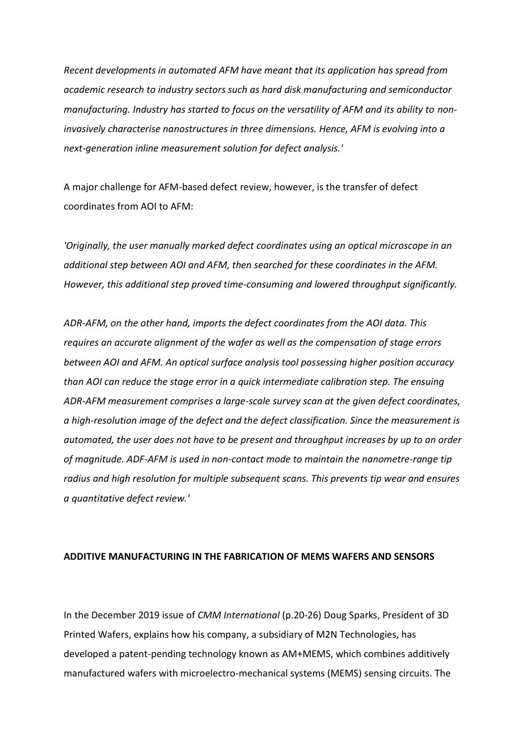*Recent developments in automated AFM have meant that its application has spread from academic research to industry sectors such as hard disk manufacturing and semiconductor manufacturing. Industry has started to focus on the versatility of AFM and its ability to noninvasively characterise nanostructures in three dimensions. Hence, AFM is evolving into a next-generation inline measurement solution for defect analysis.'*

A major challenge for AFM-based defect review, however, is the transfer of defect coordinates from AOI to AFM:

*'Originally, the user manually marked defect coordinates using an optical microscope in an additional step between AOI and AFM, then searched for these coordinates in the AFM. However, this additional step proved time-consuming and lowered throughput significantly.*

*ADR-AFM, on the other hand, imports the defect coordinates from the AOI data. This requires an accurate alignment of the wafer as well as the compensation of stage errors between AOI and AFM. An optical surface analysis tool possessing higher position accuracy than AOI can reduce the stage error in a quick intermediate calibration step. The ensuing ADR-AFM measurement comprises a large-scale survey scan at the given defect coordinates, a high-resolution image of the defect and the defect classification. Since the measurement is automated, the user does not have to be present and throughput increases by up to an order of magnitude. ADF-AFM is used in non-contact mode to maintain the nanometre-range tip radius and high resolution for multiple subsequent scans. This prevents tip wear and ensures a quantitative defect review.'*

#### **ADDITIVE MANUFACTURING IN THE FABRICATION OF MEMS WAFERS AND SENSORS**

In the December 2019 issue of *CMM International* (p.20-26) Doug Sparks, President of 3D Printed Wafers, explains how his company, a subsidiary of M2N Technologies, has developed a patent-pending technology known as AM+MEMS, which combines additively manufactured wafers with microelectro-mechanical systems (MEMS) sensing circuits. The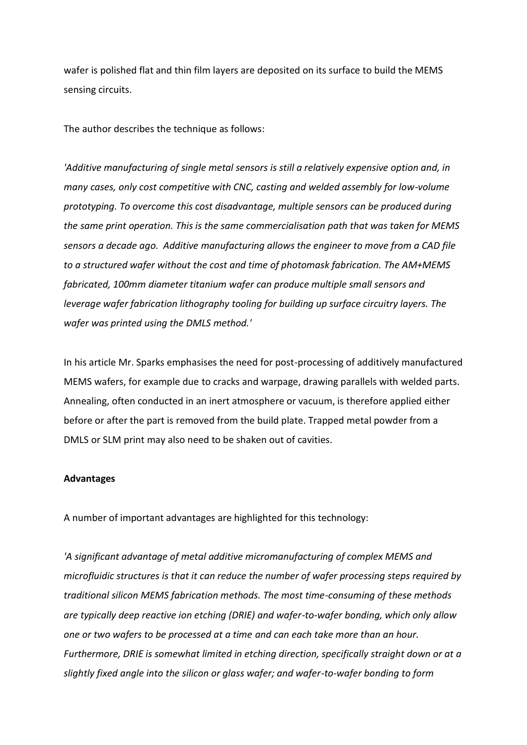wafer is polished flat and thin film layers are deposited on its surface to build the MEMS sensing circuits.

The author describes the technique as follows:

*'Additive manufacturing of single metal sensors is still a relatively expensive option and, in many cases, only cost competitive with CNC, casting and welded assembly for low-volume prototyping. To overcome this cost disadvantage, multiple sensors can be produced during the same print operation. This is the same commercialisation path that was taken for MEMS sensors a decade ago. Additive manufacturing allows the engineer to move from a CAD file to a structured wafer without the cost and time of photomask fabrication. The AM+MEMS fabricated, 100mm diameter titanium wafer can produce multiple small sensors and leverage wafer fabrication lithography tooling for building up surface circuitry layers. The wafer was printed using the DMLS method.'*

In his article Mr. Sparks emphasises the need for post-processing of additively manufactured MEMS wafers, for example due to cracks and warpage, drawing parallels with welded parts. Annealing, often conducted in an inert atmosphere or vacuum, is therefore applied either before or after the part is removed from the build plate. Trapped metal powder from a DMLS or SLM print may also need to be shaken out of cavities.

#### **Advantages**

A number of important advantages are highlighted for this technology:

*'A significant advantage of metal additive micromanufacturing of complex MEMS and microfluidic structures is that it can reduce the number of wafer processing steps required by traditional silicon MEMS fabrication methods. The most time-consuming of these methods are typically deep reactive ion etching (DRIE) and wafer-to-wafer bonding, which only allow one or two wafers to be processed at a time and can each take more than an hour. Furthermore, DRIE is somewhat limited in etching direction, specifically straight down or at a slightly fixed angle into the silicon or glass wafer; and wafer-to-wafer bonding to form*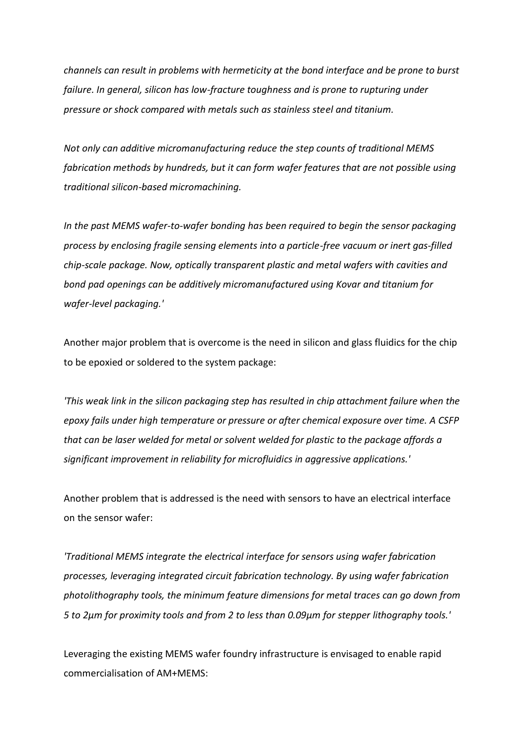*channels can result in problems with hermeticity at the bond interface and be prone to burst failure. In general, silicon has low-fracture toughness and is prone to rupturing under pressure or shock compared with metals such as stainless steel and titanium.*

*Not only can additive micromanufacturing reduce the step counts of traditional MEMS fabrication methods by hundreds, but it can form wafer features that are not possible using traditional silicon-based micromachining.*

*In the past MEMS wafer-to-wafer bonding has been required to begin the sensor packaging process by enclosing fragile sensing elements into a particle-free vacuum or inert gas-filled chip-scale package. Now, optically transparent plastic and metal wafers with cavities and bond pad openings can be additively micromanufactured using Kovar and titanium for wafer-level packaging.'*

Another major problem that is overcome is the need in silicon and glass fluidics for the chip to be epoxied or soldered to the system package:

*'This weak link in the silicon packaging step has resulted in chip attachment failure when the epoxy fails under high temperature or pressure or after chemical exposure over time. A CSFP that can be laser welded for metal or solvent welded for plastic to the package affords a significant improvement in reliability for microfluidics in aggressive applications.'*

Another problem that is addressed is the need with sensors to have an electrical interface on the sensor wafer:

*'Traditional MEMS integrate the electrical interface for sensors using wafer fabrication processes, leveraging integrated circuit fabrication technology. By using wafer fabrication photolithography tools, the minimum feature dimensions for metal traces can go down from 5 to 2µm for proximity tools and from 2 to less than 0.09µm for stepper lithography tools.'*

Leveraging the existing MEMS wafer foundry infrastructure is envisaged to enable rapid commercialisation of AM+MEMS: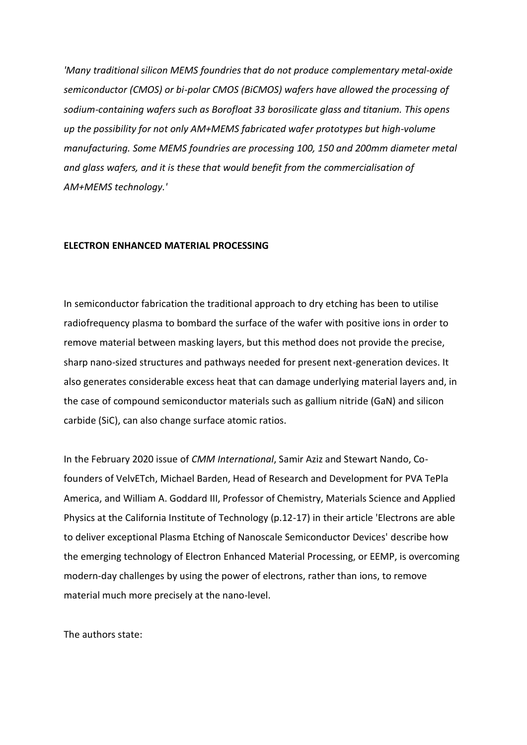*'Many traditional silicon MEMS foundries that do not produce complementary metal-oxide semiconductor (CMOS) or bi-polar CMOS (BiCMOS) wafers have allowed the processing of sodium-containing wafers such as Borofloat 33 borosilicate glass and titanium. This opens up the possibility for not only AM+MEMS fabricated wafer prototypes but high-volume manufacturing. Some MEMS foundries are processing 100, 150 and 200mm diameter metal and glass wafers, and it is these that would benefit from the commercialisation of AM+MEMS technology.'*

#### **ELECTRON ENHANCED MATERIAL PROCESSING**

In semiconductor fabrication the traditional approach to dry etching has been to utilise radiofrequency plasma to bombard the surface of the wafer with positive ions in order to remove material between masking layers, but this method does not provide the precise, sharp nano-sized structures and pathways needed for present next-generation devices. It also generates considerable excess heat that can damage underlying material layers and, in the case of compound semiconductor materials such as gallium nitride (GaN) and silicon carbide (SiC), can also change surface atomic ratios.

In the February 2020 issue of *CMM International*, Samir Aziz and Stewart Nando, Cofounders of VelvETch, Michael Barden, Head of Research and Development for PVA TePla America, and William A. Goddard III, Professor of Chemistry, Materials Science and Applied Physics at the California Institute of Technology (p.12-17) in their article 'Electrons are able to deliver exceptional Plasma Etching of Nanoscale Semiconductor Devices' describe how the emerging technology of Electron Enhanced Material Processing, or EEMP, is overcoming modern-day challenges by using the power of electrons, rather than ions, to remove material much more precisely at the nano-level.

The authors state: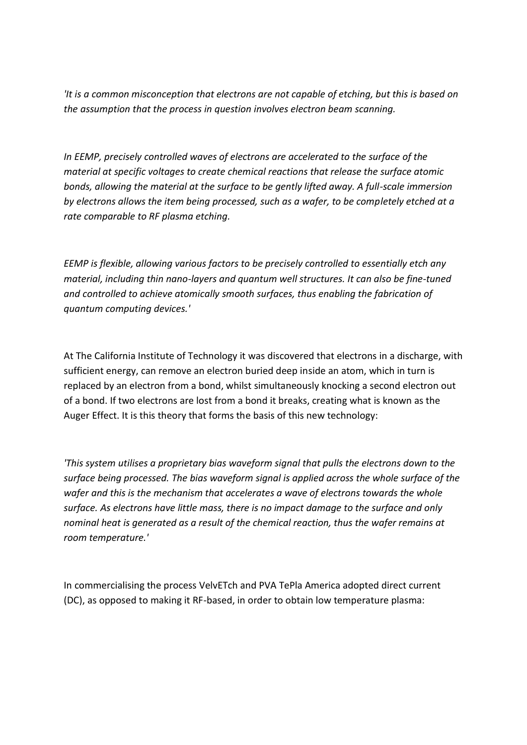*'It is a common misconception that electrons are not capable of etching, but this is based on the assumption that the process in question involves electron beam scanning.*

*In EEMP, precisely controlled waves of electrons are accelerated to the surface of the material at specific voltages to create chemical reactions that release the surface atomic bonds, allowing the material at the surface to be gently lifted away. A full-scale immersion by electrons allows the item being processed, such as a wafer, to be completely etched at a rate comparable to RF plasma etching.*

*EEMP is flexible, allowing various factors to be precisely controlled to essentially etch any material, including thin nano-layers and quantum well structures. It can also be fine-tuned and controlled to achieve atomically smooth surfaces, thus enabling the fabrication of quantum computing devices.'*

At The California Institute of Technology it was discovered that electrons in a discharge, with sufficient energy, can remove an electron buried deep inside an atom, which in turn is replaced by an electron from a bond, whilst simultaneously knocking a second electron out of a bond. If two electrons are lost from a bond it breaks, creating what is known as the Auger Effect. It is this theory that forms the basis of this new technology:

*'This system utilises a proprietary bias waveform signal that pulls the electrons down to the surface being processed. The bias waveform signal is applied across the whole surface of the wafer and this is the mechanism that accelerates a wave of electrons towards the whole surface. As electrons have little mass, there is no impact damage to the surface and only nominal heat is generated as a result of the chemical reaction, thus the wafer remains at room temperature.'*

In commercialising the process VelvETch and PVA TePla America adopted direct current (DC), as opposed to making it RF-based, in order to obtain low temperature plasma: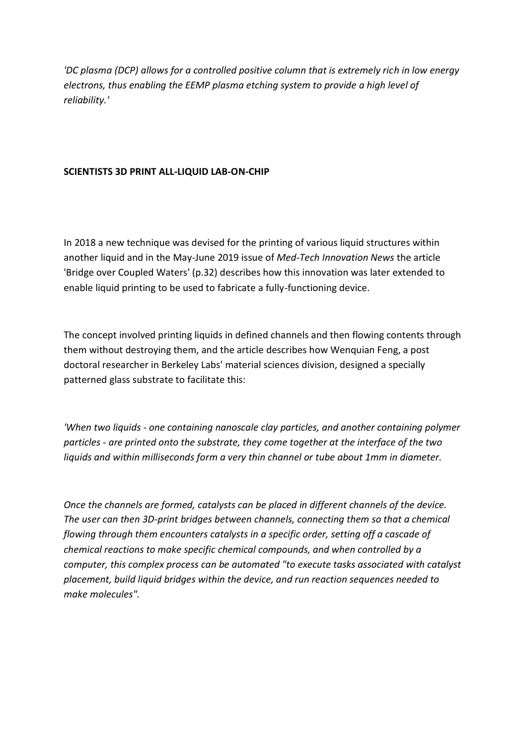*'DC plasma (DCP) allows for a controlled positive column that is extremely rich in low energy electrons, thus enabling the EEMP plasma etching system to provide a high level of reliability.'*

## **SCIENTISTS 3D PRINT ALL-LIQUID LAB-ON-CHIP**

In 2018 a new technique was devised for the printing of various liquid structures within another liquid and in the May-June 2019 issue of *Med-Tech Innovation News* the article 'Bridge over Coupled Waters' (p.32) describes how this innovation was later extended to enable liquid printing to be used to fabricate a fully-functioning device.

The concept involved printing liquids in defined channels and then flowing contents through them without destroying them, and the article describes how Wenquian Feng, a post doctoral researcher in Berkeley Labs' material sciences division, designed a specially patterned glass substrate to facilitate this:

*'When two liquids - one containing nanoscale clay particles, and another containing polymer particles - are printed onto the substrate, they come together at the interface of the two liquids and within milliseconds form a very thin channel or tube about 1mm in diameter.*

*Once the channels are formed, catalysts can be placed in different channels of the device. The user can then 3D-print bridges between channels, connecting them so that a chemical flowing through them encounters catalysts in a specific order, setting off a cascade of chemical reactions to make specific chemical compounds, and when controlled by a computer, this complex process can be automated "to execute tasks associated with catalyst placement, build liquid bridges within the device, and run reaction sequences needed to make molecules".*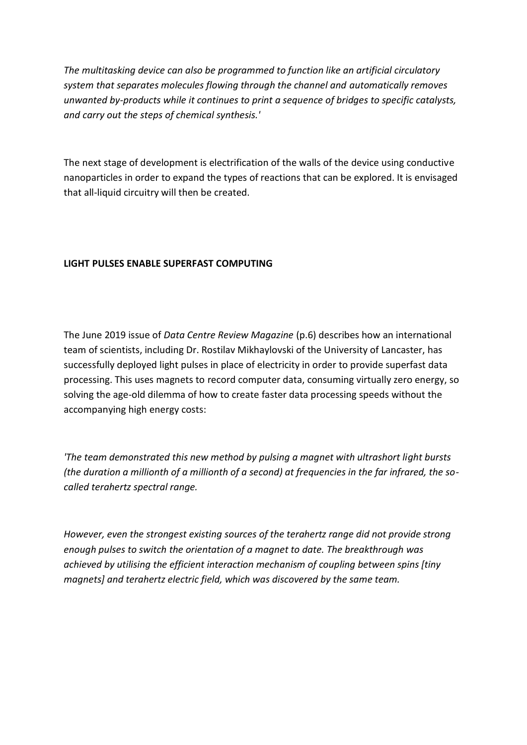*The multitasking device can also be programmed to function like an artificial circulatory system that separates molecules flowing through the channel and automatically removes unwanted by-products while it continues to print a sequence of bridges to specific catalysts, and carry out the steps of chemical synthesis.'*

The next stage of development is electrification of the walls of the device using conductive nanoparticles in order to expand the types of reactions that can be explored. It is envisaged that all-liquid circuitry will then be created.

## **LIGHT PULSES ENABLE SUPERFAST COMPUTING**

The June 2019 issue of *Data Centre Review Magazine* (p.6) describes how an international team of scientists, including Dr. Rostilav Mikhaylovski of the University of Lancaster, has successfully deployed light pulses in place of electricity in order to provide superfast data processing. This uses magnets to record computer data, consuming virtually zero energy, so solving the age-old dilemma of how to create faster data processing speeds without the accompanying high energy costs:

*'The team demonstrated this new method by pulsing a magnet with ultrashort light bursts (the duration a millionth of a millionth of a second) at frequencies in the far infrared, the socalled terahertz spectral range.*

*However, even the strongest existing sources of the terahertz range did not provide strong enough pulses to switch the orientation of a magnet to date. The breakthrough was achieved by utilising the efficient interaction mechanism of coupling between spins [tiny magnets] and terahertz electric field, which was discovered by the same team.*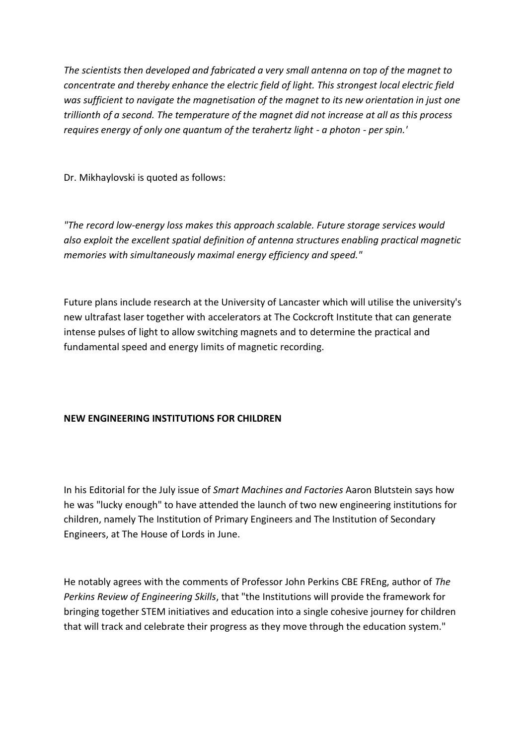*The scientists then developed and fabricated a very small antenna on top of the magnet to concentrate and thereby enhance the electric field of light. This strongest local electric field was sufficient to navigate the magnetisation of the magnet to its new orientation in just one trillionth of a second. The temperature of the magnet did not increase at all as this process requires energy of only one quantum of the terahertz light - a photon - per spin.'*

Dr. Mikhaylovski is quoted as follows:

*"The record low-energy loss makes this approach scalable. Future storage services would also exploit the excellent spatial definition of antenna structures enabling practical magnetic memories with simultaneously maximal energy efficiency and speed."*

Future plans include research at the University of Lancaster which will utilise the university's new ultrafast laser together with accelerators at The Cockcroft Institute that can generate intense pulses of light to allow switching magnets and to determine the practical and fundamental speed and energy limits of magnetic recording.

# **NEW ENGINEERING INSTITUTIONS FOR CHILDREN**

In his Editorial for the July issue of *Smart Machines and Factories* Aaron Blutstein says how he was "lucky enough" to have attended the launch of two new engineering institutions for children, namely The Institution of Primary Engineers and The Institution of Secondary Engineers, at The House of Lords in June.

He notably agrees with the comments of Professor John Perkins CBE FREng, author of *The Perkins Review of Engineering Skills*, that "the Institutions will provide the framework for bringing together STEM initiatives and education into a single cohesive journey for children that will track and celebrate their progress as they move through the education system."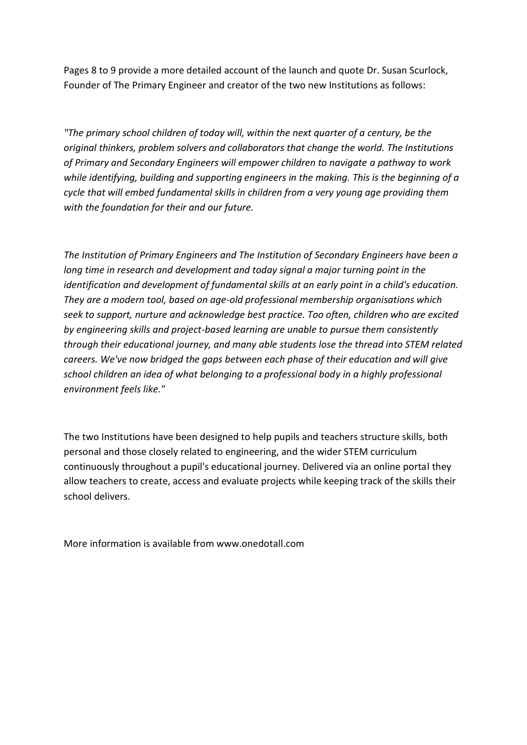Pages 8 to 9 provide a more detailed account of the launch and quote Dr. Susan Scurlock, Founder of The Primary Engineer and creator of the two new Institutions as follows:

*"The primary school children of today will, within the next quarter of a century, be the original thinkers, problem solvers and collaborators that change the world. The Institutions of Primary and Secondary Engineers will empower children to navigate a pathway to work while identifying, building and supporting engineers in the making. This is the beginning of a cycle that will embed fundamental skills in children from a very young age providing them with the foundation for their and our future.*

*The Institution of Primary Engineers and The Institution of Secondary Engineers have been a long time in research and development and today signal a major turning point in the identification and development of fundamental skills at an early point in a child's education. They are a modern tool, based on age-old professional membership organisations which seek to support, nurture and acknowledge best practice. Too often, children who are excited by engineering skills and project-based learning are unable to pursue them consistently through their educational journey, and many able students lose the thread into STEM related careers. We've now bridged the gaps between each phase of their education and will give school children an idea of what belonging to a professional body in a highly professional environment feels like."*

The two Institutions have been designed to help pupils and teachers structure skills, both personal and those closely related to engineering, and the wider STEM curriculum continuously throughout a pupil's educational journey. Delivered via an online portal they allow teachers to create, access and evaluate projects while keeping track of the skills their school delivers.

More information is available from www.onedotall.com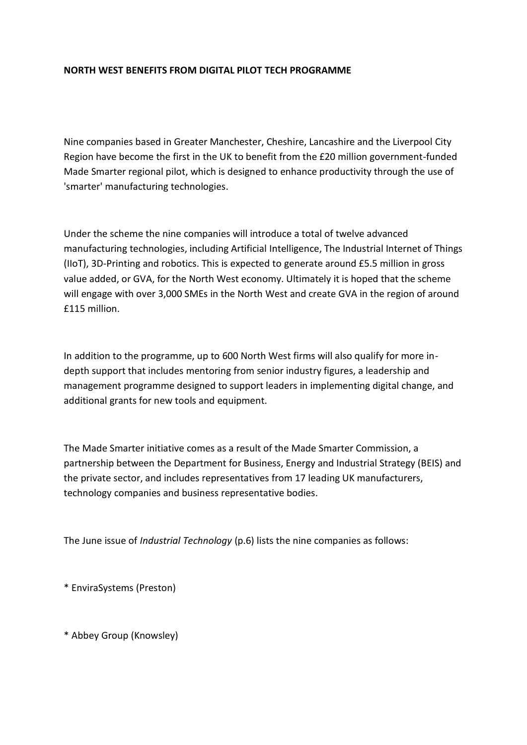## **NORTH WEST BENEFITS FROM DIGITAL PILOT TECH PROGRAMME**

Nine companies based in Greater Manchester, Cheshire, Lancashire and the Liverpool City Region have become the first in the UK to benefit from the £20 million government-funded Made Smarter regional pilot, which is designed to enhance productivity through the use of 'smarter' manufacturing technologies.

Under the scheme the nine companies will introduce a total of twelve advanced manufacturing technologies, including Artificial Intelligence, The Industrial Internet of Things (IIoT), 3D-Printing and robotics. This is expected to generate around £5.5 million in gross value added, or GVA, for the North West economy. Ultimately it is hoped that the scheme will engage with over 3,000 SMEs in the North West and create GVA in the region of around £115 million.

In addition to the programme, up to 600 North West firms will also qualify for more indepth support that includes mentoring from senior industry figures, a leadership and management programme designed to support leaders in implementing digital change, and additional grants for new tools and equipment.

The Made Smarter initiative comes as a result of the Made Smarter Commission, a partnership between the Department for Business, Energy and Industrial Strategy (BEIS) and the private sector, and includes representatives from 17 leading UK manufacturers, technology companies and business representative bodies.

The June issue of *Industrial Technology* (p.6) lists the nine companies as follows:

\* EnviraSystems (Preston)

\* Abbey Group (Knowsley)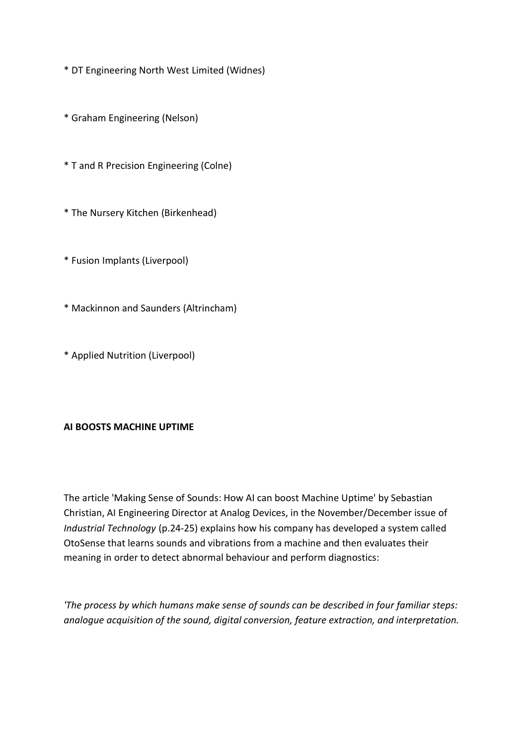- \* DT Engineering North West Limited (Widnes)
- \* Graham Engineering (Nelson)
- \* T and R Precision Engineering (Colne)
- \* The Nursery Kitchen (Birkenhead)
- \* Fusion Implants (Liverpool)
- \* Mackinnon and Saunders (Altrincham)
- \* Applied Nutrition (Liverpool)

## **AI BOOSTS MACHINE UPTIME**

The article 'Making Sense of Sounds: How AI can boost Machine Uptime' by Sebastian Christian, AI Engineering Director at Analog Devices, in the November/December issue of *Industrial Technology* (p.24-25) explains how his company has developed a system called OtoSense that learns sounds and vibrations from a machine and then evaluates their meaning in order to detect abnormal behaviour and perform diagnostics:

*'The process by which humans make sense of sounds can be described in four familiar steps: analogue acquisition of the sound, digital conversion, feature extraction, and interpretation.*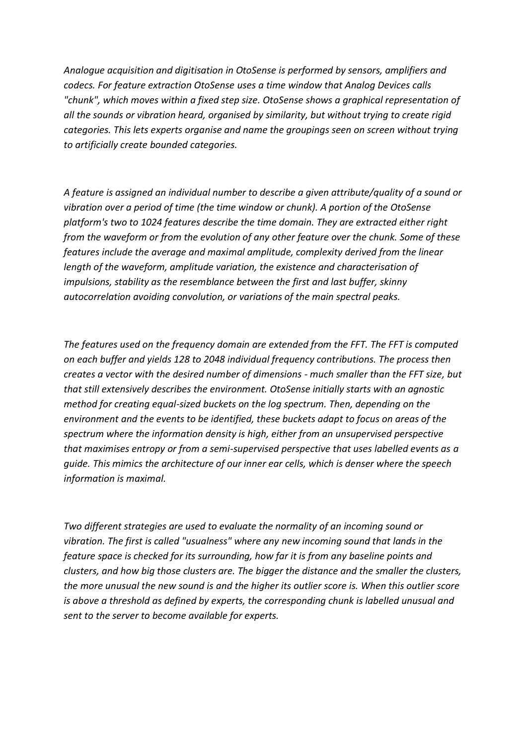*Analogue acquisition and digitisation in OtoSense is performed by sensors, amplifiers and codecs. For feature extraction OtoSense uses a time window that Analog Devices calls "chunk", which moves within a fixed step size. OtoSense shows a graphical representation of all the sounds or vibration heard, organised by similarity, but without trying to create rigid categories. This lets experts organise and name the groupings seen on screen without trying to artificially create bounded categories.*

*A feature is assigned an individual number to describe a given attribute/quality of a sound or vibration over a period of time (the time window or chunk). A portion of the OtoSense platform's two to 1024 features describe the time domain. They are extracted either right from the waveform or from the evolution of any other feature over the chunk. Some of these features include the average and maximal amplitude, complexity derived from the linear length of the waveform, amplitude variation, the existence and characterisation of impulsions, stability as the resemblance between the first and last buffer, skinny autocorrelation avoiding convolution, or variations of the main spectral peaks.*

*The features used on the frequency domain are extended from the FFT. The FFT is computed on each buffer and yields 128 to 2048 individual frequency contributions. The process then creates a vector with the desired number of dimensions - much smaller than the FFT size, but that still extensively describes the environment. OtoSense initially starts with an agnostic method for creating equal-sized buckets on the log spectrum. Then, depending on the environment and the events to be identified, these buckets adapt to focus on areas of the spectrum where the information density is high, either from an unsupervised perspective that maximises entropy or from a semi-supervised perspective that uses labelled events as a guide. This mimics the architecture of our inner ear cells, which is denser where the speech information is maximal.*

*Two different strategies are used to evaluate the normality of an incoming sound or vibration. The first is called "usualness" where any new incoming sound that lands in the feature space is checked for its surrounding, how far it is from any baseline points and clusters, and how big those clusters are. The bigger the distance and the smaller the clusters, the more unusual the new sound is and the higher its outlier score is. When this outlier score is above a threshold as defined by experts, the corresponding chunk is labelled unusual and sent to the server to become available for experts.*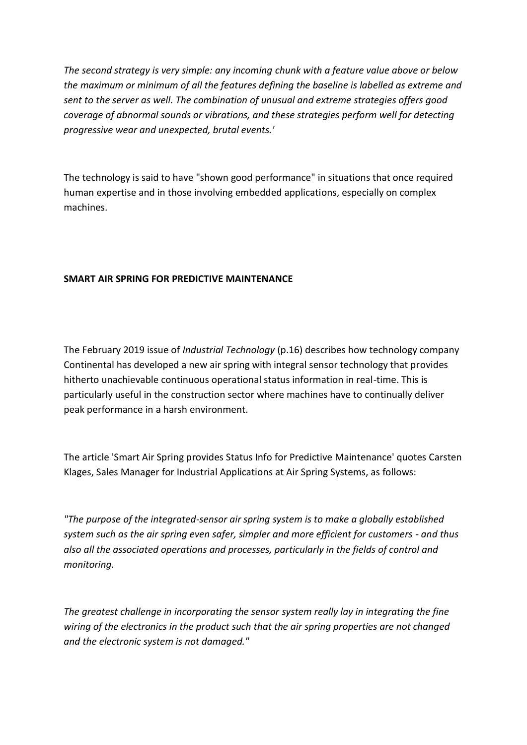*The second strategy is very simple: any incoming chunk with a feature value above or below the maximum or minimum of all the features defining the baseline is labelled as extreme and sent to the server as well. The combination of unusual and extreme strategies offers good coverage of abnormal sounds or vibrations, and these strategies perform well for detecting progressive wear and unexpected, brutal events.'*

The technology is said to have "shown good performance" in situations that once required human expertise and in those involving embedded applications, especially on complex machines.

# **SMART AIR SPRING FOR PREDICTIVE MAINTENANCE**

The February 2019 issue of *Industrial Technology* (p.16) describes how technology company Continental has developed a new air spring with integral sensor technology that provides hitherto unachievable continuous operational status information in real-time. This is particularly useful in the construction sector where machines have to continually deliver peak performance in a harsh environment.

The article 'Smart Air Spring provides Status Info for Predictive Maintenance' quotes Carsten Klages, Sales Manager for Industrial Applications at Air Spring Systems, as follows:

*"The purpose of the integrated-sensor air spring system is to make a globally established system such as the air spring even safer, simpler and more efficient for customers - and thus also all the associated operations and processes, particularly in the fields of control and monitoring.*

*The greatest challenge in incorporating the sensor system really lay in integrating the fine wiring of the electronics in the product such that the air spring properties are not changed and the electronic system is not damaged."*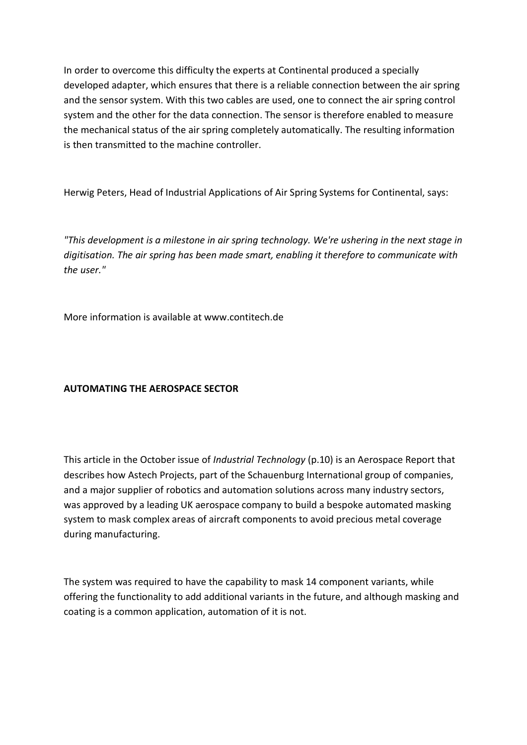In order to overcome this difficulty the experts at Continental produced a specially developed adapter, which ensures that there is a reliable connection between the air spring and the sensor system. With this two cables are used, one to connect the air spring control system and the other for the data connection. The sensor is therefore enabled to measure the mechanical status of the air spring completely automatically. The resulting information is then transmitted to the machine controller.

Herwig Peters, Head of Industrial Applications of Air Spring Systems for Continental, says:

*"This development is a milestone in air spring technology. We're ushering in the next stage in digitisation. The air spring has been made smart, enabling it therefore to communicate with the user."*

More information is available at www.contitech.de

# **AUTOMATING THE AEROSPACE SECTOR**

This article in the October issue of *Industrial Technology* (p.10) is an Aerospace Report that describes how Astech Projects, part of the Schauenburg International group of companies, and a major supplier of robotics and automation solutions across many industry sectors, was approved by a leading UK aerospace company to build a bespoke automated masking system to mask complex areas of aircraft components to avoid precious metal coverage during manufacturing.

The system was required to have the capability to mask 14 component variants, while offering the functionality to add additional variants in the future, and although masking and coating is a common application, automation of it is not.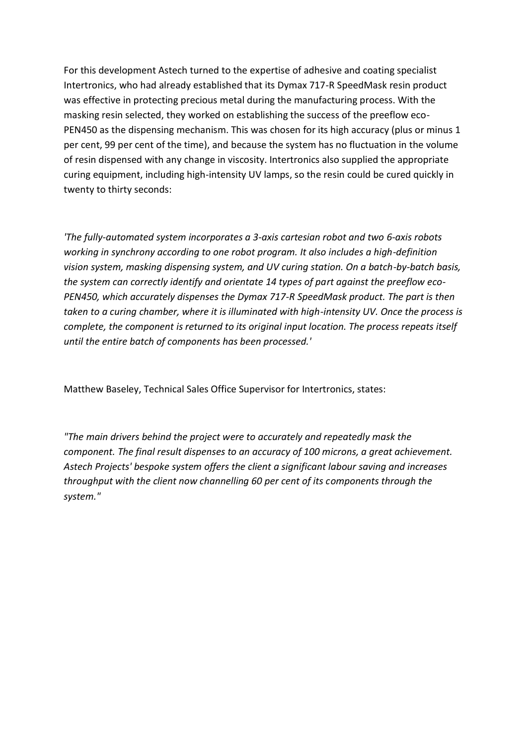For this development Astech turned to the expertise of adhesive and coating specialist Intertronics, who had already established that its Dymax 717-R SpeedMask resin product was effective in protecting precious metal during the manufacturing process. With the masking resin selected, they worked on establishing the success of the preeflow eco-PEN450 as the dispensing mechanism. This was chosen for its high accuracy (plus or minus 1 per cent, 99 per cent of the time), and because the system has no fluctuation in the volume of resin dispensed with any change in viscosity. Intertronics also supplied the appropriate curing equipment, including high-intensity UV lamps, so the resin could be cured quickly in twenty to thirty seconds:

*'The fully-automated system incorporates a 3-axis cartesian robot and two 6-axis robots working in synchrony according to one robot program. It also includes a high-definition vision system, masking dispensing system, and UV curing station. On a batch-by-batch basis, the system can correctly identify and orientate 14 types of part against the preeflow eco-PEN450, which accurately dispenses the Dymax 717-R SpeedMask product. The part is then taken to a curing chamber, where it is illuminated with high-intensity UV. Once the process is complete, the component is returned to its original input location. The process repeats itself until the entire batch of components has been processed.'*

Matthew Baseley, Technical Sales Office Supervisor for Intertronics, states:

*"The main drivers behind the project were to accurately and repeatedly mask the component. The final result dispenses to an accuracy of 100 microns, a great achievement. Astech Projects' bespoke system offers the client a significant labour saving and increases throughput with the client now channelling 60 per cent of its components through the system."*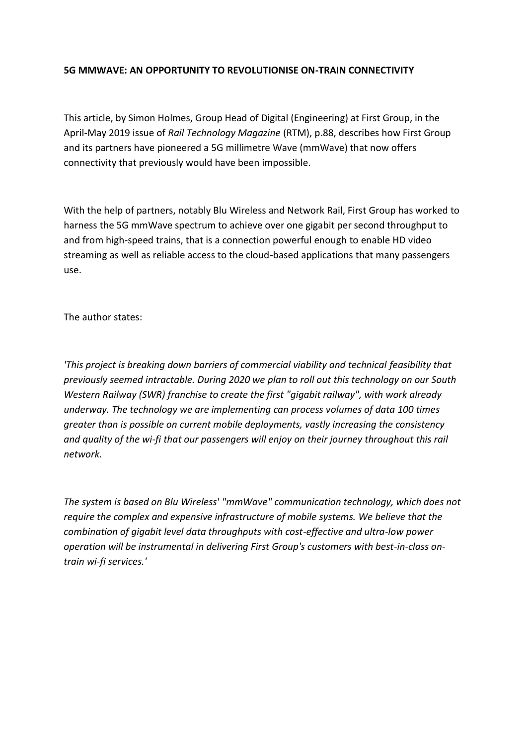## **5G MMWAVE: AN OPPORTUNITY TO REVOLUTIONISE ON-TRAIN CONNECTIVITY**

This article, by Simon Holmes, Group Head of Digital (Engineering) at First Group, in the April-May 2019 issue of *Rail Technology Magazine* (RTM), p.88, describes how First Group and its partners have pioneered a 5G millimetre Wave (mmWave) that now offers connectivity that previously would have been impossible.

With the help of partners, notably Blu Wireless and Network Rail, First Group has worked to harness the 5G mmWave spectrum to achieve over one gigabit per second throughput to and from high-speed trains, that is a connection powerful enough to enable HD video streaming as well as reliable access to the cloud-based applications that many passengers use.

The author states:

*'This project is breaking down barriers of commercial viability and technical feasibility that previously seemed intractable. During 2020 we plan to roll out this technology on our South Western Railway (SWR) franchise to create the first "gigabit railway", with work already underway. The technology we are implementing can process volumes of data 100 times greater than is possible on current mobile deployments, vastly increasing the consistency and quality of the wi-fi that our passengers will enjoy on their journey throughout this rail network.*

*The system is based on Blu Wireless' "mmWave" communication technology, which does not require the complex and expensive infrastructure of mobile systems. We believe that the combination of gigabit level data throughputs with cost-effective and ultra-low power operation will be instrumental in delivering First Group's customers with best-in-class ontrain wi-fi services.'*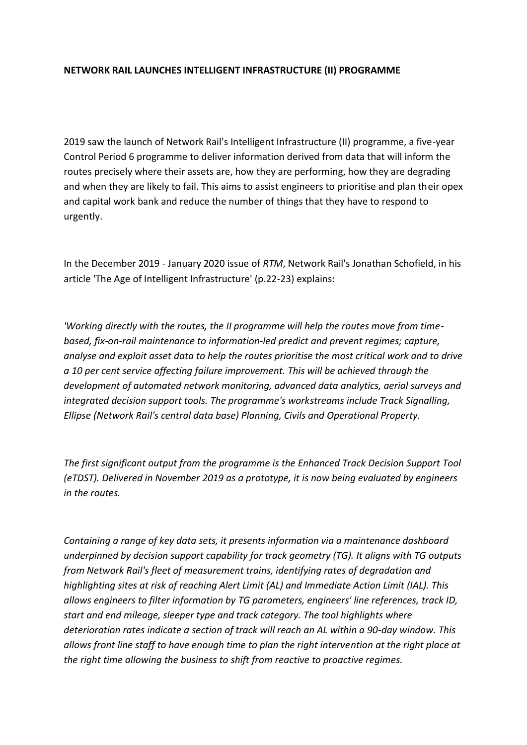## **NETWORK RAIL LAUNCHES INTELLIGENT INFRASTRUCTURE (II) PROGRAMME**

2019 saw the launch of Network Rail's Intelligent Infrastructure (II) programme, a five-year Control Period 6 programme to deliver information derived from data that will inform the routes precisely where their assets are, how they are performing, how they are degrading and when they are likely to fail. This aims to assist engineers to prioritise and plan their opex and capital work bank and reduce the number of things that they have to respond to urgently.

In the December 2019 - January 2020 issue of *RTM*, Network Rail's Jonathan Schofield, in his article 'The Age of Intelligent Infrastructure' (p.22-23) explains:

*'Working directly with the routes, the II programme will help the routes move from timebased, fix-on-rail maintenance to information-led predict and prevent regimes; capture, analyse and exploit asset data to help the routes prioritise the most critical work and to drive a 10 per cent service affecting failure improvement. This will be achieved through the development of automated network monitoring, advanced data analytics, aerial surveys and integrated decision support tools. The programme's workstreams include Track Signalling, Ellipse (Network Rail's central data base) Planning, Civils and Operational Property.*

*The first significant output from the programme is the Enhanced Track Decision Support Tool (eTDST). Delivered in November 2019 as a prototype, it is now being evaluated by engineers in the routes.*

*Containing a range of key data sets, it presents information via a maintenance dashboard underpinned by decision support capability for track geometry (TG). It aligns with TG outputs from Network Rail's fleet of measurement trains, identifying rates of degradation and highlighting sites at risk of reaching Alert Limit (AL) and Immediate Action Limit (IAL). This allows engineers to filter information by TG parameters, engineers' line references, track ID, start and end mileage, sleeper type and track category. The tool highlights where deterioration rates indicate a section of track will reach an AL within a 90-day window. This allows front line staff to have enough time to plan the right intervention at the right place at the right time allowing the business to shift from reactive to proactive regimes.*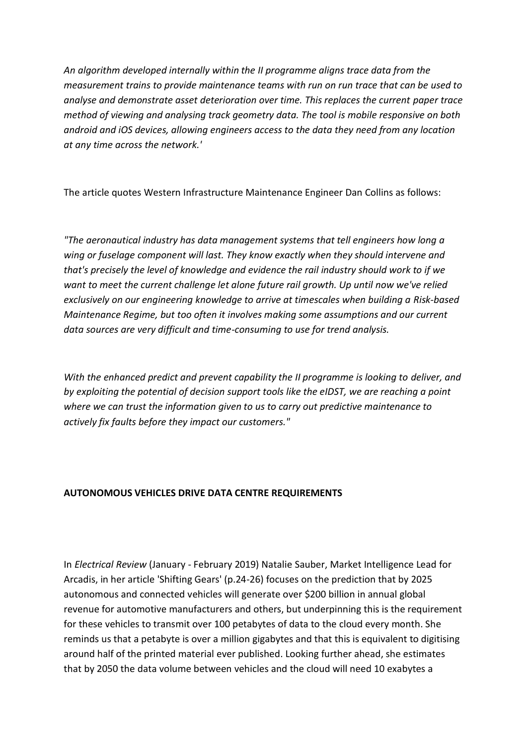*An algorithm developed internally within the II programme aligns trace data from the measurement trains to provide maintenance teams with run on run trace that can be used to analyse and demonstrate asset deterioration over time. This replaces the current paper trace method of viewing and analysing track geometry data. The tool is mobile responsive on both android and iOS devices, allowing engineers access to the data they need from any location at any time across the network.'*

The article quotes Western Infrastructure Maintenance Engineer Dan Collins as follows:

*"The aeronautical industry has data management systems that tell engineers how long a wing or fuselage component will last. They know exactly when they should intervene and that's precisely the level of knowledge and evidence the rail industry should work to if we want to meet the current challenge let alone future rail growth. Up until now we've relied exclusively on our engineering knowledge to arrive at timescales when building a Risk-based Maintenance Regime, but too often it involves making some assumptions and our current data sources are very difficult and time-consuming to use for trend analysis.*

*With the enhanced predict and prevent capability the II programme is looking to deliver, and by exploiting the potential of decision support tools like the eIDST, we are reaching a point where we can trust the information given to us to carry out predictive maintenance to actively fix faults before they impact our customers."*

# **AUTONOMOUS VEHICLES DRIVE DATA CENTRE REQUIREMENTS**

In *Electrical Review* (January - February 2019) Natalie Sauber, Market Intelligence Lead for Arcadis, in her article 'Shifting Gears' (p.24-26) focuses on the prediction that by 2025 autonomous and connected vehicles will generate over \$200 billion in annual global revenue for automotive manufacturers and others, but underpinning this is the requirement for these vehicles to transmit over 100 petabytes of data to the cloud every month. She reminds us that a petabyte is over a million gigabytes and that this is equivalent to digitising around half of the printed material ever published. Looking further ahead, she estimates that by 2050 the data volume between vehicles and the cloud will need 10 exabytes a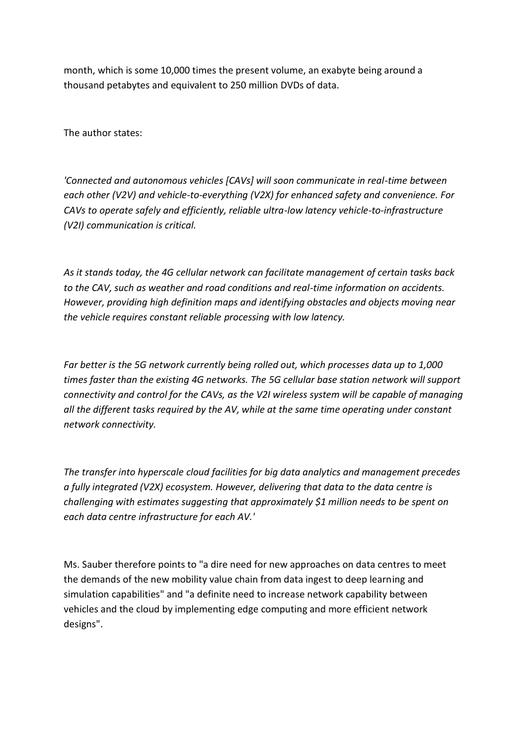month, which is some 10,000 times the present volume, an exabyte being around a thousand petabytes and equivalent to 250 million DVDs of data.

The author states:

*'Connected and autonomous vehicles [CAVs] will soon communicate in real-time between each other (V2V) and vehicle-to-everything (V2X) for enhanced safety and convenience. For CAVs to operate safely and efficiently, reliable ultra-low latency vehicle-to-infrastructure (V2I) communication is critical.*

*As it stands today, the 4G cellular network can facilitate management of certain tasks back to the CAV, such as weather and road conditions and real-time information on accidents. However, providing high definition maps and identifying obstacles and objects moving near the vehicle requires constant reliable processing with low latency.*

*Far better is the 5G network currently being rolled out, which processes data up to 1,000 times faster than the existing 4G networks. The 5G cellular base station network will support connectivity and control for the CAVs, as the V2I wireless system will be capable of managing all the different tasks required by the AV, while at the same time operating under constant network connectivity.*

*The transfer into hyperscale cloud facilities for big data analytics and management precedes a fully integrated (V2X) ecosystem. However, delivering that data to the data centre is challenging with estimates suggesting that approximately \$1 million needs to be spent on each data centre infrastructure for each AV.'*

Ms. Sauber therefore points to "a dire need for new approaches on data centres to meet the demands of the new mobility value chain from data ingest to deep learning and simulation capabilities" and "a definite need to increase network capability between vehicles and the cloud by implementing edge computing and more efficient network designs".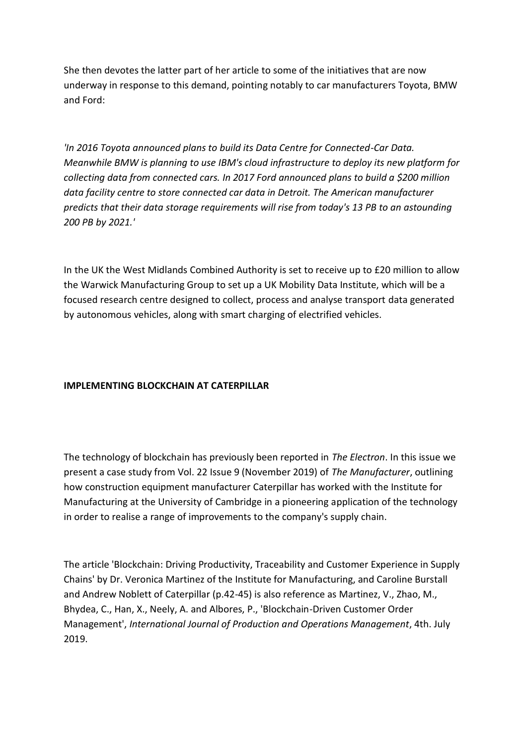She then devotes the latter part of her article to some of the initiatives that are now underway in response to this demand, pointing notably to car manufacturers Toyota, BMW and Ford:

*'In 2016 Toyota announced plans to build its Data Centre for Connected-Car Data. Meanwhile BMW is planning to use IBM's cloud infrastructure to deploy its new platform for collecting data from connected cars. In 2017 Ford announced plans to build a \$200 million data facility centre to store connected car data in Detroit. The American manufacturer predicts that their data storage requirements will rise from today's 13 PB to an astounding 200 PB by 2021.'*

In the UK the West Midlands Combined Authority is set to receive up to £20 million to allow the Warwick Manufacturing Group to set up a UK Mobility Data Institute, which will be a focused research centre designed to collect, process and analyse transport data generated by autonomous vehicles, along with smart charging of electrified vehicles.

## **IMPLEMENTING BLOCKCHAIN AT CATERPILLAR**

The technology of blockchain has previously been reported in *The Electron*. In this issue we present a case study from Vol. 22 Issue 9 (November 2019) of *The Manufacturer*, outlining how construction equipment manufacturer Caterpillar has worked with the Institute for Manufacturing at the University of Cambridge in a pioneering application of the technology in order to realise a range of improvements to the company's supply chain.

The article 'Blockchain: Driving Productivity, Traceability and Customer Experience in Supply Chains' by Dr. Veronica Martinez of the Institute for Manufacturing, and Caroline Burstall and Andrew Noblett of Caterpillar (p.42-45) is also reference as Martinez, V., Zhao, M., Bhydea, C., Han, X., Neely, A. and Albores, P., 'Blockchain-Driven Customer Order Management', *International Journal of Production and Operations Management*, 4th. July 2019.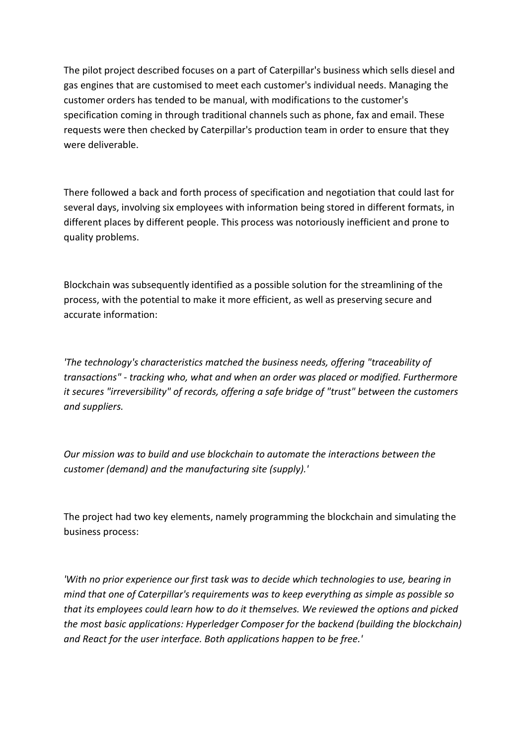The pilot project described focuses on a part of Caterpillar's business which sells diesel and gas engines that are customised to meet each customer's individual needs. Managing the customer orders has tended to be manual, with modifications to the customer's specification coming in through traditional channels such as phone, fax and email. These requests were then checked by Caterpillar's production team in order to ensure that they were deliverable.

There followed a back and forth process of specification and negotiation that could last for several days, involving six employees with information being stored in different formats, in different places by different people. This process was notoriously inefficient and prone to quality problems.

Blockchain was subsequently identified as a possible solution for the streamlining of the process, with the potential to make it more efficient, as well as preserving secure and accurate information:

*'The technology's characteristics matched the business needs, offering "traceability of transactions" - tracking who, what and when an order was placed or modified. Furthermore it secures "irreversibility" of records, offering a safe bridge of "trust" between the customers and suppliers.*

*Our mission was to build and use blockchain to automate the interactions between the customer (demand) and the manufacturing site (supply).'*

The project had two key elements, namely programming the blockchain and simulating the business process:

*'With no prior experience our first task was to decide which technologies to use, bearing in mind that one of Caterpillar's requirements was to keep everything as simple as possible so that its employees could learn how to do it themselves. We reviewed the options and picked the most basic applications: Hyperledger Composer for the backend (building the blockchain) and React for the user interface. Both applications happen to be free.'*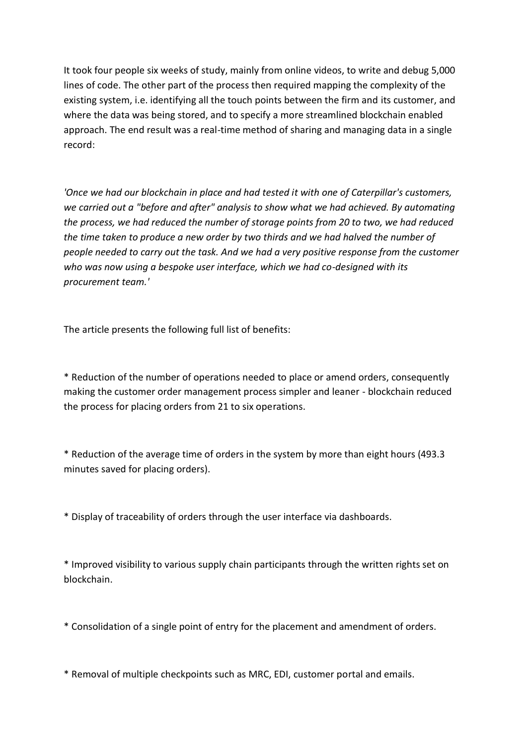It took four people six weeks of study, mainly from online videos, to write and debug 5,000 lines of code. The other part of the process then required mapping the complexity of the existing system, i.e. identifying all the touch points between the firm and its customer, and where the data was being stored, and to specify a more streamlined blockchain enabled approach. The end result was a real-time method of sharing and managing data in a single record:

*'Once we had our blockchain in place and had tested it with one of Caterpillar's customers, we carried out a "before and after" analysis to show what we had achieved. By automating the process, we had reduced the number of storage points from 20 to two, we had reduced the time taken to produce a new order by two thirds and we had halved the number of people needed to carry out the task. And we had a very positive response from the customer who was now using a bespoke user interface, which we had co-designed with its procurement team.'*

The article presents the following full list of benefits:

\* Reduction of the number of operations needed to place or amend orders, consequently making the customer order management process simpler and leaner - blockchain reduced the process for placing orders from 21 to six operations.

\* Reduction of the average time of orders in the system by more than eight hours (493.3 minutes saved for placing orders).

\* Display of traceability of orders through the user interface via dashboards.

\* Improved visibility to various supply chain participants through the written rights set on blockchain.

\* Consolidation of a single point of entry for the placement and amendment of orders.

\* Removal of multiple checkpoints such as MRC, EDI, customer portal and emails.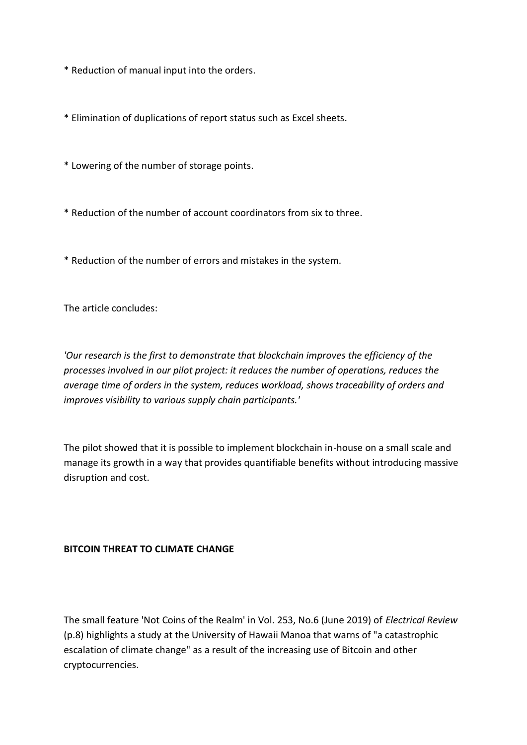\* Reduction of manual input into the orders.

\* Elimination of duplications of report status such as Excel sheets.

\* Lowering of the number of storage points.

\* Reduction of the number of account coordinators from six to three.

\* Reduction of the number of errors and mistakes in the system.

The article concludes:

*'Our research is the first to demonstrate that blockchain improves the efficiency of the processes involved in our pilot project: it reduces the number of operations, reduces the average time of orders in the system, reduces workload, shows traceability of orders and improves visibility to various supply chain participants.'*

The pilot showed that it is possible to implement blockchain in-house on a small scale and manage its growth in a way that provides quantifiable benefits without introducing massive disruption and cost.

## **BITCOIN THREAT TO CLIMATE CHANGE**

The small feature 'Not Coins of the Realm' in Vol. 253, No.6 (June 2019) of *Electrical Review* (p.8) highlights a study at the University of Hawaii Manoa that warns of "a catastrophic escalation of climate change" as a result of the increasing use of Bitcoin and other cryptocurrencies.